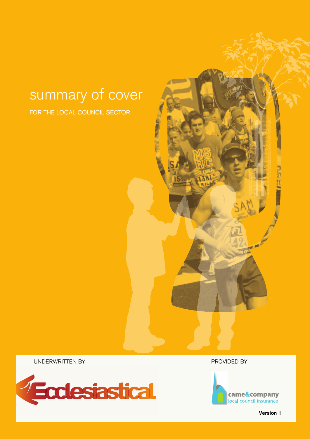# summary of cover

FOR THE LOCAL COUNCIL SECTOR

UNDERWRITTEN BY PROVIDED BY





Version 1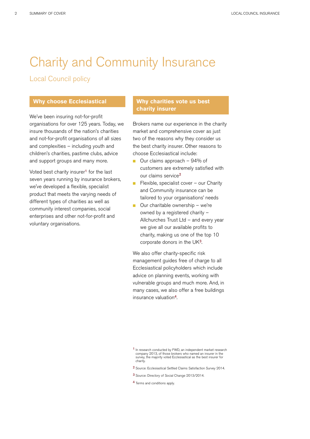# Charity and Community Insurance

#### Local Council policy

#### **Why choose Ecclesiastical**

We've been insuring not-for-profit organisations for over 125 years. Today, we insure thousands of the nation's charities and not-for-profit organisations of all sizes and complexities – including youth and children's charities, pastime clubs, advice and support groups and many more.

Voted best charity insurer<sup>1</sup> for the last seven years running by insurance brokers, we've developed a flexible, specialist product that meets the varying needs of different types of charities as well as community interest companies, social enterprises and other not-for-profit and voluntary organisations.

#### **Why charities vote us best charity insurer**

Brokers name our experience in the charity market and comprehensive cover as just two of the reasons why they consider us the best charity insurer. Other reasons to choose Ecclesiastical include:

- $\Box$  Our claims approach 94% of customers are extremely satisfied with our claims service<sup>2</sup>
- $\blacksquare$  Flexible, specialist cover our Charity and Community insurance can be tailored to your organisations' needs
- $\Box$  Our charitable ownership we're owned by a registered charity – Allchurches Trust Ltd – and every year we give all our available profits to charity, making us one of the top 10 corporate donors in the UK<sup>3</sup>.

We also offer charity-specific risk management guides free of charge to all Ecclesiastical policyholders which include advice on planning events, working with vulnerable groups and much more. And, in many cases, we also offer a free buildings insurance valuation4.

- 2 Source: Ecclesiastical Settled Claims Satisfaction Survey 2014.
- 3 Source: Directory of Social Change 2013/2014.
- 4 Terms and conditions apply.

<sup>1</sup> In research conducted by FWD, an independent market research company 2013, of those brokers who named an insurer in the survey, the majority voted Ecclesiastical as the best insurer for charity.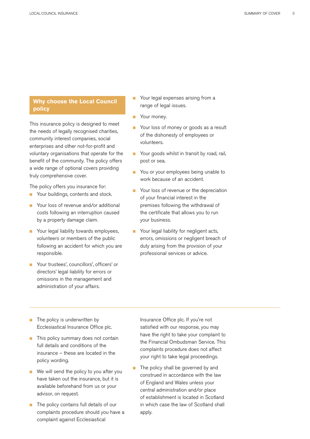#### **Why choose the Local Council policy**

This insurance policy is designed to meet the needs of legally recognised charities, community interest companies, social enterprises and other not-for-profit and voluntary organisations that operate for the benefit of the community. The policy offers a wide range of optional covers providing truly comprehensive cover.

The policy offers you insurance for:

- Your buildings, contents and stock.
- Your loss of revenue and/or additional costs following an interruption caused by a property damage claim.
- **n** Your legal liability towards employees, volunteers or members of the public following an accident for which you are responsible.
- Your trustees', councillors', officers' or directors' legal liability for errors or omissions in the management and administration of your affairs.
- Your legal expenses arising from a range of legal issues.
- Your money.
- Your loss of money or goods as a result of the dishonesty of employees or volunteers.
- **n** Your goods whilst in transit by road, rail, post or sea.
- **n** You or your employees being unable to work because of an accident.
- **n** Your loss of revenue or the depreciation of your financial interest in the premises following the withdrawal of the certificate that allows you to run your business.
- **n** Your legal liability for negligent acts, errors, omissions or negligent breach of duty arising from the provision of your professional services or advice.

- $\blacksquare$  The policy is underwritten by Ecclesiastical Insurance Office plc.
- **n** This policy summary does not contain full details and conditions of the insurance – these are located in the policy wording.
- We will send the policy to you after you have taken out the insurance, but it is available beforehand from us or your advisor, on request.
- The policy contains full details of our complaints procedure should you have a complaint against Ecclesiastical

Insurance Office plc. If you're not satisfied with our response, you may have the right to take your complaint to the Financial Ombudsman Service. This complaints procedure does not affect your right to take legal proceedings.

The policy shall be governed by and construed in accordance with the law of England and Wales unless your central administration and/or place of establishment is located in Scotland in which case the law of Scotland shall apply.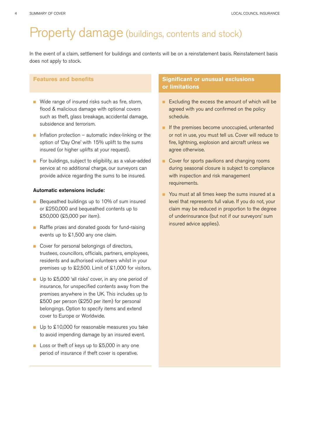### Property damage (buildings, contents and stock)

In the event of a claim, settlement for buildings and contents will be on a reinstatement basis. Reinstatement basis does not apply to stock.

#### **Features and benefits**

- Wide range of insured risks such as fire, storm, flood & malicious damage with optional covers such as theft, glass breakage, accidental damage, subsidence and terrorism.
- n Inflation protection automatic index-linking or the option of 'Day One' with 15% uplift to the sums insured (or higher uplifts at your request).
- For buildings, subject to eligibility, as a value-added service at no additional charge, our surveyors can provide advice regarding the sums to be insured.

#### Automatic extensions include:

- Bequeathed buildings up to 10% of sum insured or £250,000 and bequeathed contents up to £50,000 (£5,000 per item).
- **n** Raffle prizes and donated goods for fund-raising events up to £1,500 any one claim.
- Cover for personal belongings of directors, trustees, councillors, officials, partners, employees, residents and authorised volunteers whilst in your premises up to £2,500. Limit of £1,000 for visitors.
- Up to £5,000 'all risks' cover, in any one period of insurance, for unspecified contents away from the premises anywhere in the UK. This includes up to £500 per person (£250 per item) for personal belongings. Option to specify items and extend cover to Europe or Worldwide.
- $\Box$  Up to £10,000 for reasonable measures you take to avoid impending damage by an insured event.
- Loss or theft of keys up to £5,000 in any one period of insurance if theft cover is operative.

- **Excluding the excess the amount of which will be** agreed with you and confirmed on the policy schedule.
- **n** If the premises become unoccupied, untenanted or not in use, you must tell us. Cover will reduce to fire, lightning, explosion and aircraft unless we agree otherwise.
- Cover for sports pavilions and changing rooms during seasonal closure is subject to compliance with inspection and risk management requirements.
- **n** You must at all times keep the sums insured at a level that represents full value. If you do not, your claim may be reduced in proportion to the degree of underinsurance (but not if our surveyors' sum insured advice applies).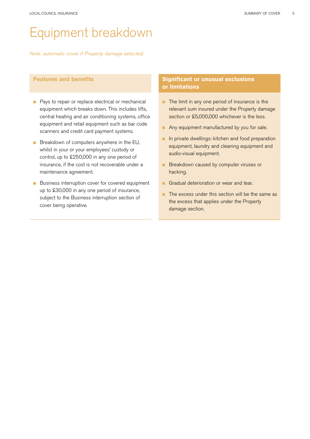# Equipment breakdown

*Note: automatic cover if Property damage selected.*

#### **Features and benefits**

- **n** Pays to repair or replace electrical or mechanical equipment which breaks down. This includes lifts, central heating and air conditioning systems, office equipment and retail equipment such as bar code scanners and credit card payment systems.
- **n** Breakdown of computers anywhere in the EU, whilst in your or your employees' custody or control, up to £250,000 in any one period of insurance, if the cost is not recoverable under a maintenance agreement.
- **n** Business interruption cover for covered equipment up to £30,000 in any one period of insurance, subject to the Business interruption section of cover being operative.

- n The limit in any one period of insurance is the relevant sum insured under the Property damage section or £5,000,000 whichever is the less.
- **n** Any equipment manufactured by you for sale.
- n In private dwellings: kitchen and food preparation equipment, laundry and cleaning equipment and audio-visual equipment.
- **n** Breakdown caused by computer viruses or hacking.
- **n** Gradual deterioration or wear and tear.
- $\blacksquare$  The excess under this section will be the same as the excess that applies under the Property damage section.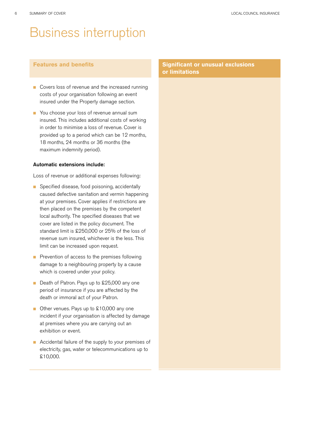### Business interruption

#### **Features and benefits**

- Covers loss of revenue and the increased running costs of your organisation following an event insured under the Property damage section.
- You choose your loss of revenue annual sum insured. This includes additional costs of working in order to minimise a loss of revenue. Cover is provided up to a period which can be 12 months, 18 months, 24 months or 36 months (the maximum indemnity period).

#### Automatic extensions include:

Loss of revenue or additional expenses following:

- Specified disease, food poisoning, accidentally caused defective sanitation and vermin happening at your premises. Cover applies if restrictions are then placed on the premises by the competent local authority. The specified diseases that we cover are listed in the policy document. The standard limit is £250,000 or 25% of the loss of revenue sum insured, whichever is the less. This limit can be increased upon request.
- $\blacksquare$  Prevention of access to the premises following damage to a neighbouring property by a cause which is covered under your policy.
- Death of Patron. Pays up to £25,000 any one period of insurance if you are affected by the death or immoral act of your Patron.
- Other venues. Pays up to £10,000 any one incident if your organisation is affected by damage at premises where you are carrying out an exhibition or event.
- Accidental failure of the supply to your premises of electricity, gas, water or telecommunications up to £10,000.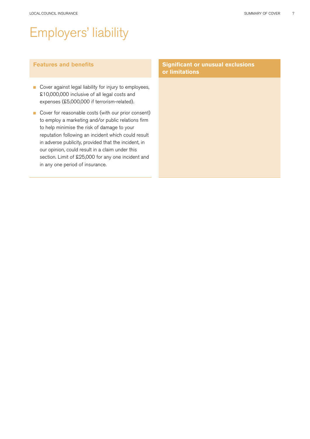# Employers' liability

#### **Features and benefits**

- Cover against legal liability for injury to employees, £10,000,000 inclusive of all legal costs and expenses (£5,000,000 if terrorism-related).
- Cover for reasonable costs (with our prior consent) to employ a marketing and/or public relations firm to help minimise the risk of damage to your reputation following an incident which could result in adverse publicity, provided that the incident, in our opinion, could result in a claim under this section. Limit of £25,000 for any one incident and in any one period of insurance.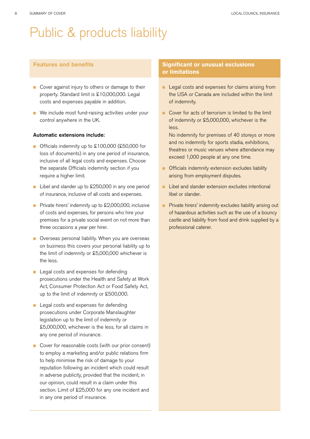# Public & products liability

#### **Features and benefits**

- Cover against injury to others or damage to their property. Standard limit is £10,000,000. Legal costs and expenses payable in addition.
- $\blacksquare$  We include most fund-raising activities under your control anywhere in the UK.

#### Automatic extensions include:

- Officials indemnity up to £100,000 (£50,000 for loss of documents) in any one period of insurance, inclusive of all legal costs and expenses. Choose the separate Officials indemnity section if you require a higher limit.
- Libel and slander up to £250,000 in any one period of insurance, inclusive of all costs and expenses.
- **n** Private hirers' indemnity up to  $\text{\pounds}2,000,000$ , inclusive of costs and expenses, for persons who hire your premises for a private social event on not more than three occasions a year per hirer.
- **n** Overseas personal liability. When you are overseas on business this covers your personal liability up to the limit of indemnity or £5,000,000 whichever is the less.
- **n** Legal costs and expenses for defending prosecutions under the Health and Safety at Work Act, Consumer Protection Act or Food Safety Act, up to the limit of indemnity or £500,000.
- **n** Legal costs and expenses for defending prosecutions under Corporate Manslaughter legislation up to the limit of indemnity or £5,000,000, whichever is the less, for all claims in any one period of insurance.
- Cover for reasonable costs (with our prior consent) to employ a marketing and/or public relations firm to help minimise the risk of damage to your reputation following an incident which could result in adverse publicity, provided that the incident, in our opinion, could result in a claim under this section. Limit of £25,000 for any one incident and in any one period of insurance.

- **n** Legal costs and expenses for claims arising from the USA or Canada are included within the limit of indemnity.
- Cover for acts of terrorism is limited to the limit of indemnity or £5,000,000, whichever is the less.
	- No indemnity for premises of 40 storeys or more and no indemnity for sports stadia, exhibitions, theatres or music venues where attendance may exceed 1,000 people at any one time.
- **n** Officials indemnity extension excludes liability arising from employment disputes.
- n Libel and slander extension excludes intentional libel or slander.
- **n** Private hirers' indemnity excludes liability arising out of hazardous activities such as the use of a bouncy castle and liability from food and drink supplied by a professional caterer.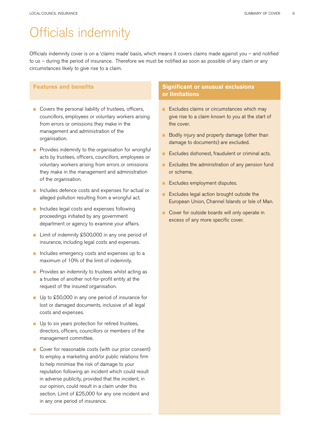# Officials indemnity

Officials indemnity cover is on a 'claims made' basis, which means it covers claims made against you – and notified to us – during the period of insurance. Therefore we must be notified as soon as possible of any claim or any circumstances likely to give rise to a claim.

#### **Features and benefits**

- **n** Covers the personal liability of trustees, officers, councillors, employees or voluntary workers arising from errors or omissions they make in the management and administration of the organisation.
- **n** Provides indemnity to the organisation for wrongful acts by trustees, officers, councillors, employees or voluntary workers arising from errors or omissions they make in the management and administration of the organisation.
- n Includes defence costs and expenses for actual or alleged pollution resulting from a wrongful act.
- n Includes legal costs and expenses following proceedings initiated by any government department or agency to examine your affairs.
- Limit of indemnity £500,000 in any one period of insurance, including legal costs and expenses.
- n Includes emergency costs and expenses up to a maximum of 10% of the limit of indemnity.
- $\blacksquare$  Provides an indemnity to trustees whilst acting as a trustee of another not-for-profit entity at the request of the insured organisation.
- Up to £50,000 in any one period of insurance for lost or damaged documents, inclusive of all legal costs and expenses.
- $\blacksquare$  Up to six years protection for retired trustees, directors, officers, councillors or members of the management committee.
- Cover for reasonable costs (with our prior consent) to employ a marketing and/or public relations firm to help minimise the risk of damage to your reputation following an incident which could result in adverse publicity, provided that the incident, in our opinion, could result in a claim under this section. Limit of £25,000 for any one incident and in any one period of insurance.

- **Excludes claims or circumstances which may** give rise to a claim known to you at the start of the cover.
- Bodily injury and property damage (other than damage to documents) are excluded.
- Excludes dishonest, fraudulent or criminal acts.
- $\blacksquare$  Excludes the administration of any pension fund or scheme.
- Excludes employment disputes.
- **Excludes legal action brought outside the** European Union, Channel Islands or Isle of Man.
- **n** Cover for outside boards will only operate in excess of any more specific cover.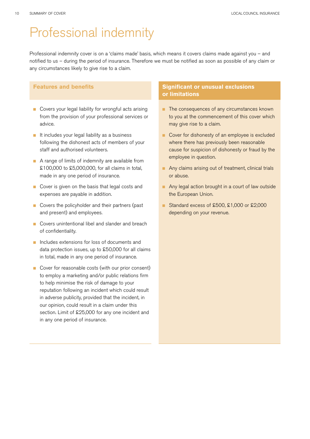### Professional indemnity

Professional indemnity cover is on a 'claims made' basis, which means it covers claims made against you – and notified to us – during the period of insurance. Therefore we must be notified as soon as possible of any claim or any circumstances likely to give rise to a claim.

#### **Features and benefits**

- **n** Covers your legal liability for wrongful acts arising from the provision of your professional services or advice.
- $\blacksquare$  It includes your legal liability as a business following the dishonest acts of members of your staff and authorised volunteers.
- $\blacksquare$  A range of limits of indemnity are available from £100,000 to £5,000,000, for all claims in total, made in any one period of insurance.
- Cover is given on the basis that legal costs and expenses are payable in addition.
- $\blacksquare$  Covers the policyholder and their partners (past and present) and employees.
- **n** Covers unintentional libel and slander and breach of confidentiality.
- n Includes extensions for loss of documents and data protection issues, up to £50,000 for all claims in total, made in any one period of insurance.
- Cover for reasonable costs (with our prior consent) to employ a marketing and/or public relations firm to help minimise the risk of damage to your reputation following an incident which could result in adverse publicity, provided that the incident, in our opinion, could result in a claim under this section. Limit of £25,000 for any one incident and in any one period of insurance.

- n The consequences of any circumstances known to you at the commencement of this cover which may give rise to a claim.
- Cover for dishonesty of an employee is excluded where there has previously been reasonable cause for suspicion of dishonesty or fraud by the employee in question.
- n Any claims arising out of treatment, clinical trials or abuse.
- n Any legal action brought in a court of law outside the European Union.
- Standard excess of  $£500$ ,  $£1,000$  or  $£2,000$ depending on your revenue.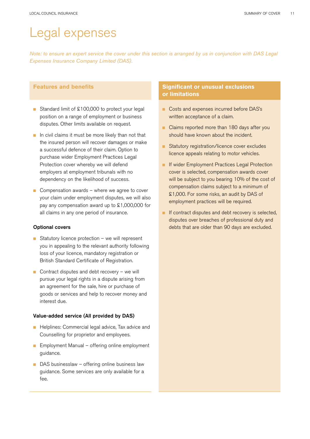### Legal expenses

Note: to ensure an expert service the cover under this section is arranged by us in conjunction with DAS Legal *Expenses Insurance Company Limited (DAS).*

#### **Features and benefits**

- Standard limit of £100,000 to protect your legal position on a range of employment or business disputes. Other limits available on request.
- $\blacksquare$  In civil claims it must be more likely than not that the insured person will recover damages or make a successful defence of their claim. Option to purchase wider Employment Practices Legal Protection cover whereby we will defend employers at employment tribunals with no dependency on the likelihood of success.
- $\Box$  Compensation awards where we agree to cover your claim under employment disputes, we will also pay any compensation award up to £1,000,000 for all claims in any one period of insurance.

#### Optional covers

- Statutory licence protection we will represent you in appealing to the relevant authority following loss of your licence, mandatory registration or British Standard Certificate of Registration.
- $\Box$  Contract disputes and debt recovery we will pursue your legal rights in a dispute arising from an agreement for the sale, hire or purchase of goods or services and help to recover money and interest due.

#### Value-added service (All provided by DAS)

- Helplines: Commercial legal advice, Tax advice and Counselling for proprietor and employees.
- $\blacksquare$  Employment Manual offering online employment guidance.
- $\Box$  DAS businesslaw offering online business law guidance. Some services are only available for a fee.

- Costs and expenses incurred before DAS's written acceptance of a claim.
- **n** Claims reported more than 180 days after you should have known about the incident.
- Statutory registration/licence cover excludes licence appeals relating to motor vehicles.
- **n** If wider Employment Practices Legal Protection cover is selected, compensation awards cover will be subject to you bearing 10% of the cost of compensation claims subject to a minimum of £1,000. For some risks, an audit by DAS of employment practices will be required.
- **n** If contract disputes and debt recovery is selected, disputes over breaches of professional duty and debts that are older than 90 days are excluded.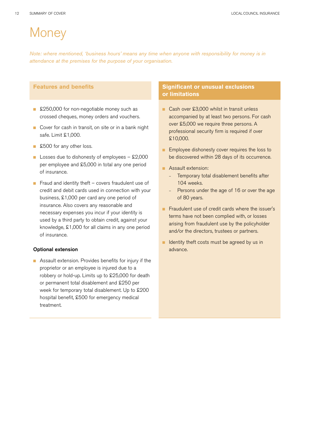# **Money**

*Note: where mentioned, 'business hours' means any time when anyone with responsibility for money is in attendance at the premises for the purpose of your organisation.*

#### **Features and benefits**

- £250,000 for non-negotiable money such as crossed cheques, money orders and vouchers.
- Cover for cash in transit, on site or in a bank night safe. Limit £1,000.
- £500 for any other loss.
- **n** Losses due to dishonesty of employees  $-$  £2,000 per employee and £5,000 in total any one period of insurance.
- Fraud and identity theft  $-$  covers fraudulent use of credit and debit cards used in connection with your business, £1,000 per card any one period of insurance. Also covers any reasonable and necessary expenses you incur if your identity is used by a third party to obtain credit, against your knowledge, £1,000 for all claims in any one period of insurance.

#### Optional extension

■ Assault extension. Provides benefits for injury if the proprietor or an employee is injured due to a robbery or hold-up. Limits up to £25,000 for death or permanent total disablement and £250 per week for temporary total disablement. Up to £200 hospital benefit, £500 for emergency medical treatment.

- Cash over £3,000 whilst in transit unless accompanied by at least two persons. For cash over £5,000 we require three persons. A professional security firm is required if over £10,000.
- **n** Employee dishonesty cover requires the loss to be discovered within 28 days of its occurrence.
- **n** Assault extension:
	- Temporary total disablement benefits after 104 weeks.
	- Persons under the age of 16 or over the age of 80 years.
- **n** Fraudulent use of credit cards where the issuer's terms have not been complied with, or losses arising from fraudulent use by the policyholder and/or the directors, trustees or partners.
- **n** Identity theft costs must be agreed by us in advance.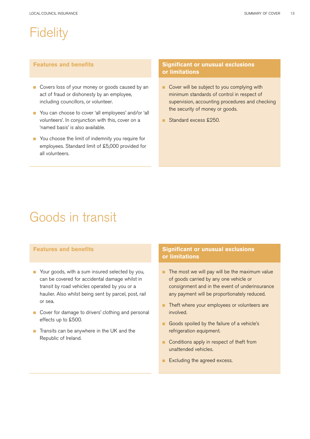### **Fidelity**

#### **Features and benefits**

- Covers loss of your money or goods caused by an act of fraud or dishonesty by an employee, including councillors, or volunteer.
- You can choose to cover 'all employees' and/or 'all volunteers'. In conjunction with this, cover on a 'named basis' is also available.
- You choose the limit of indemnity you require for employees. Standard limit of £5,000 provided for all volunteers.

#### **Significant or unusual exclusions or limitations**

- **n** Cover will be subject to you complying with minimum standards of control in respect of supervision, accounting procedures and checking the security of money or goods.
- Standard excess £250.

# Goods in transit

#### **Features and benefits**

- Your goods, with a sum insured selected by you, can be covered for accidental damage whilst in transit by road vehicles operated by you or a haulier. Also whilst being sent by parcel, post, rail or sea.
- Cover for damage to drivers' clothing and personal effects up to £500.
- $\blacksquare$  Transits can be anywhere in the UK and the Republic of Ireland.

- $\blacksquare$  The most we will pay will be the maximum value of goods carried by any one vehicle or consignment and in the event of underinsurance any payment will be proportionately reduced.
- **n** Theft where your employees or volunteers are involved.
- Goods spoiled by the failure of a vehicle's refrigeration equipment.
- **n** Conditions apply in respect of theft from unattended vehicles.
- Excluding the agreed excess.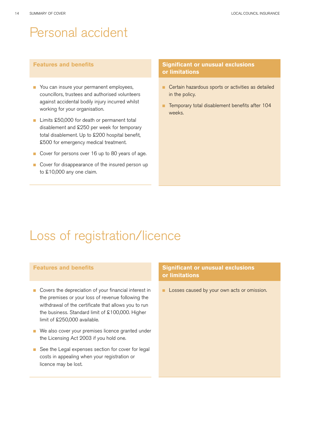### Personal accident

#### **Features and benefits**

- **n** You can insure your permanent employees, councillors, trustees and authorised volunteers against accidental bodily injury incurred whilst working for your organisation.
- Limits £50,000 for death or permanent total disablement and £250 per week for temporary total disablement. Up to £200 hospital benefit, £500 for emergency medical treatment.
- Cover for persons over 16 up to 80 years of age.
- Cover for disappearance of the insured person up to £10,000 any one claim.

#### **Significant or unusual exclusions or limitations**

- **n** Certain hazardous sports or activities as detailed in the policy.
- **n** Temporary total disablement benefits after 104 weeks.

### Loss of registration/licence

#### **Features and benefits**

- $\blacksquare$  Covers the depreciation of your financial interest in the premises or your loss of revenue following the withdrawal of the certificate that allows you to run the business. Standard limit of £100,000. Higher limit of £250,000 available.
- We also cover your premises licence granted under the Licensing Act 2003 if you hold one.
- See the Legal expenses section for cover for legal costs in appealing when your registration or licence may be lost.

#### **Significant or unusual exclusions or limitations**

**n** Losses caused by your own acts or omission.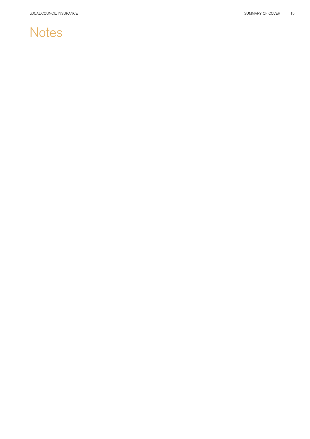# Notes